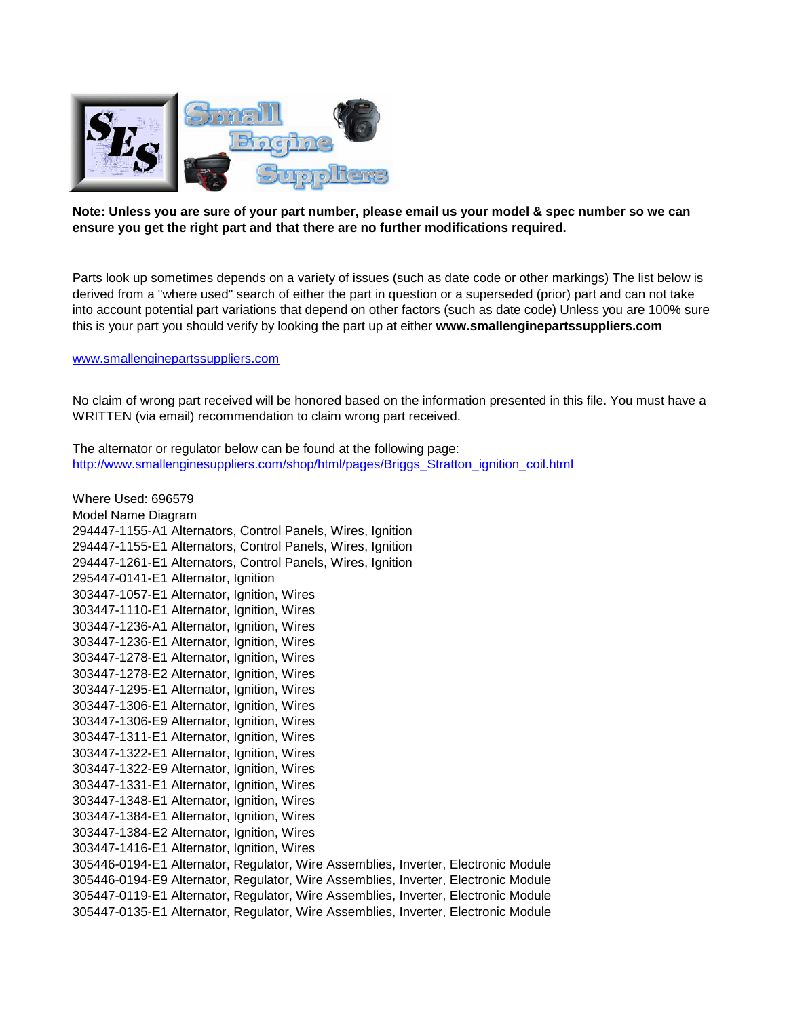

## **Note: Unless you are sure of your part number, please email us your model & spec number so we can ensure you get the right part and that there are no further modifications required.**

Parts look up sometimes depends on a variety of issues (such as date code or other markings) The list below is derived from a "where used" search of either the part in question or a superseded (prior) part and can not take into account potential part variations that depend on other factors (such as date code) Unless you are 100% sure this is your part you should verify by looking the part up at either **www.smallenginepartssuppliers.com**

## www.smallenginepartssuppliers.com

No claim of wrong part received will be honored based on the information presented in this file. You must have a WRITTEN (via email) recommendation to claim wrong part received.

The alternator or regulator below can be found at the following page: http://www.smallenginesuppliers.com/shop/html/pages/Briggs\_Stratton\_ignition\_coil.html

Where Used: 696579 Model Name Diagram 294447-1155-A1 Alternators, Control Panels, Wires, Ignition 294447-1155-E1 Alternators, Control Panels, Wires, Ignition 294447-1261-E1 Alternators, Control Panels, Wires, Ignition 295447-0141-E1 Alternator, Ignition 303447-1057-E1 Alternator, Ignition, Wires 303447-1110-E1 Alternator, Ignition, Wires 303447-1236-A1 Alternator, Ignition, Wires 303447-1236-E1 Alternator, Ignition, Wires 303447-1278-E1 Alternator, Ignition, Wires 303447-1278-E2 Alternator, Ignition, Wires 303447-1295-E1 Alternator, Ignition, Wires 303447-1306-E1 Alternator, Ignition, Wires 303447-1306-E9 Alternator, Ignition, Wires 303447-1311-E1 Alternator, Ignition, Wires 303447-1322-E1 Alternator, Ignition, Wires 303447-1322-E9 Alternator, Ignition, Wires 303447-1331-E1 Alternator, Ignition, Wires 303447-1348-E1 Alternator, Ignition, Wires 303447-1384-E1 Alternator, Ignition, Wires 303447-1384-E2 Alternator, Ignition, Wires 303447-1416-E1 Alternator, Ignition, Wires 305446-0194-E1 Alternator, Regulator, Wire Assemblies, Inverter, Electronic Module 305446-0194-E9 Alternator, Regulator, Wire Assemblies, Inverter, Electronic Module 305447-0119-E1 Alternator, Regulator, Wire Assemblies, Inverter, Electronic Module 305447-0135-E1 Alternator, Regulator, Wire Assemblies, Inverter, Electronic Module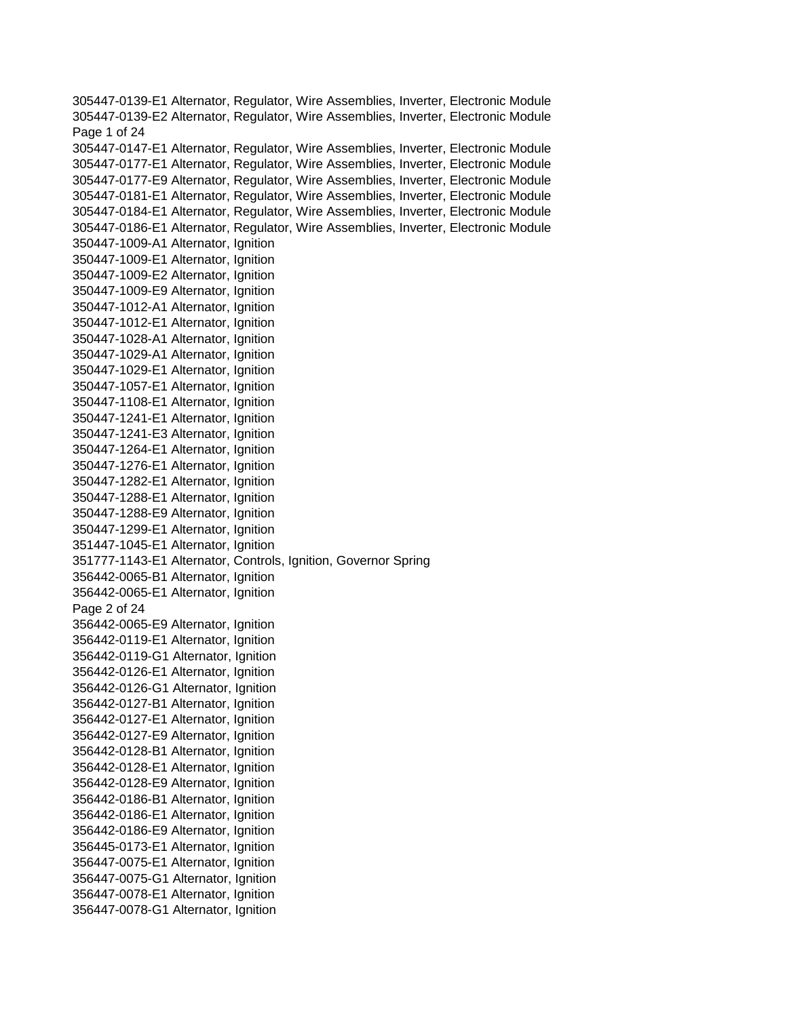305447-0139-E1 Alternator, Regulator, Wire Assemblies, Inverter, Electronic Module 305447-0139-E2 Alternator, Regulator, Wire Assemblies, Inverter, Electronic Module Page 1 of 24 305447-0147-E1 Alternator, Regulator, Wire Assemblies, Inverter, Electronic Module 305447-0177-E1 Alternator, Regulator, Wire Assemblies, Inverter, Electronic Module 305447-0177-E9 Alternator, Regulator, Wire Assemblies, Inverter, Electronic Module 305447-0181-E1 Alternator, Regulator, Wire Assemblies, Inverter, Electronic Module 305447-0184-E1 Alternator, Regulator, Wire Assemblies, Inverter, Electronic Module 305447-0186-E1 Alternator, Regulator, Wire Assemblies, Inverter, Electronic Module 350447-1009-A1 Alternator, Ignition 350447-1009-E1 Alternator, Ignition 350447-1009-E2 Alternator, Ignition 350447-1009-E9 Alternator, Ignition 350447-1012-A1 Alternator, Ignition 350447-1012-E1 Alternator, Ignition 350447-1028-A1 Alternator, Ignition 350447-1029-A1 Alternator, Ignition 350447-1029-E1 Alternator, Ignition 350447-1057-E1 Alternator, Ignition 350447-1108-E1 Alternator, Ignition 350447-1241-E1 Alternator, Ignition 350447-1241-E3 Alternator, Ignition 350447-1264-E1 Alternator, Ignition 350447-1276-E1 Alternator, Ignition 350447-1282-E1 Alternator, Ignition 350447-1288-E1 Alternator, Ignition 350447-1288-E9 Alternator, Ignition 350447-1299-E1 Alternator, Ignition 351447-1045-E1 Alternator, Ignition 351777-1143-E1 Alternator, Controls, Ignition, Governor Spring 356442-0065-B1 Alternator, Ignition 356442-0065-E1 Alternator, Ignition Page 2 of 24 356442-0065-E9 Alternator, Ignition 356442-0119-E1 Alternator, Ignition 356442-0119-G1 Alternator, Ignition 356442-0126-E1 Alternator, Ignition 356442-0126-G1 Alternator, Ignition 356442-0127-B1 Alternator, Ignition 356442-0127-E1 Alternator, Ignition 356442-0127-E9 Alternator, Ignition 356442-0128-B1 Alternator, Ignition 356442-0128-E1 Alternator, Ignition 356442-0128-E9 Alternator, Ignition 356442-0186-B1 Alternator, Ignition 356442-0186-E1 Alternator, Ignition 356442-0186-E9 Alternator, Ignition 356445-0173-E1 Alternator, Ignition 356447-0075-E1 Alternator, Ignition 356447-0075-G1 Alternator, Ignition 356447-0078-E1 Alternator, Ignition 356447-0078-G1 Alternator, Ignition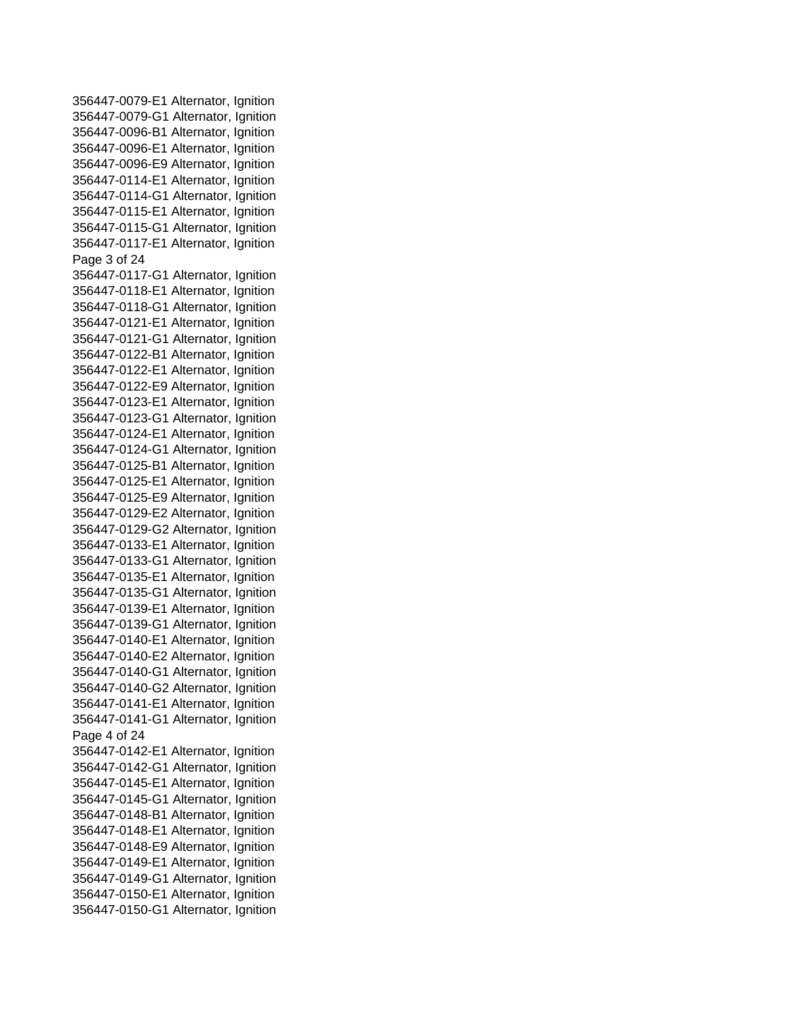356447-0079-E1 Alternator, Ignition 356447-0079-G1 Alternator, Ignition 356447-0096-B1 Alternator, Ignition 356447-0096-E1 Alternator, Ignition 356447-0096-E9 Alternator, Ignition 356447-0114-E1 Alternator, Ignition 356447-0114-G1 Alternator, Ignition 356447-0115-E1 Alternator, Ignition 356447-0115-G1 Alternator, Ignition 356447-0117-E1 Alternator, Ignition Page 3 of 24 356447-0117-G1 Alternator, Ignition 356447-0118-E1 Alternator, Ignition 356447-0118-G1 Alternator, Ignition 356447-0121-E1 Alternator, Ignition 356447-0121-G1 Alternator, Ignition 356447-0122-B1 Alternator, Ignition 356447-0122-E1 Alternator, Ignition 356447-0122-E9 Alternator, Ignition 356447-0123-E1 Alternator, Ignition 356447-0123-G1 Alternator, Ignition 356447-0124-E1 Alternator, Ignition 356447-0124-G1 Alternator, Ignition 356447-0125-B1 Alternator, Ignition 356447-0125-E1 Alternator, Ignition 356447-0125-E9 Alternator, Ignition 356447-0129-E2 Alternator, Ignition 356447-0129-G2 Alternator, Ignition 356447-0133-E1 Alternator, Ignition 356447-0133-G1 Alternator, Ignition 356447-0135-E1 Alternator, Ignition 356447-0135-G1 Alternator, Ignition 356447-0139-E1 Alternator, Ignition 356447-0139-G1 Alternator, Ignition 356447-0140-E1 Alternator, Ignition 356447-0140-E2 Alternator, Ignition 356447-0140-G1 Alternator, Ignition 356447-0140-G2 Alternator, Ignition 356447-0141-E1 Alternator, Ignition 356447-0141-G1 Alternator, Ignition Page 4 of 24 356447-0142-E1 Alternator, Ignition 356447-0142-G1 Alternator, Ignition 356447-0145-E1 Alternator, Ignition 356447-0145-G1 Alternator, Ignition 356447-0148-B1 Alternator, Ignition 356447-0148-E1 Alternator, Ignition 356447-0148-E9 Alternator, Ignition 356447-0149-E1 Alternator, Ignition 356447-0149-G1 Alternator, Ignition 356447-0150-E1 Alternator, Ignition 356447-0150-G1 Alternator, Ignition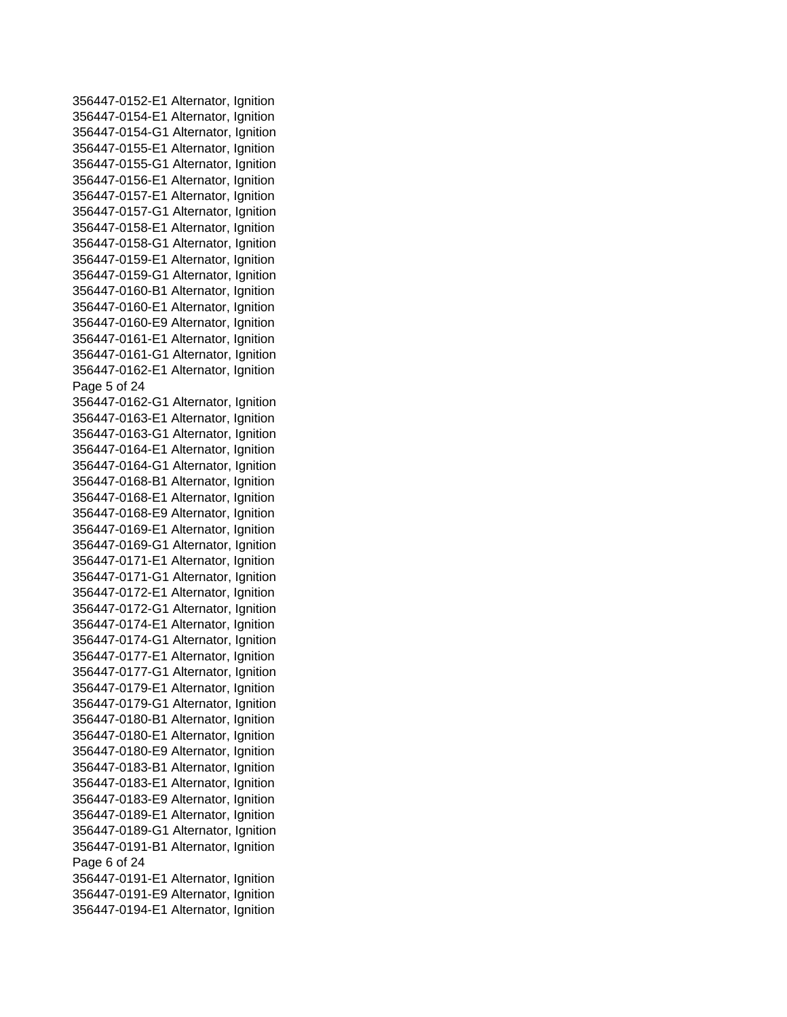356447-0152-E1 Alternator, Ignition 356447-0154-E1 Alternator, Ignition 356447-0154-G1 Alternator, Ignition 356447-0155-E1 Alternator, Ignition 356447-0155-G1 Alternator, Ignition 356447-0156-E1 Alternator, Ignition 356447-0157-E1 Alternator, Ignition 356447-0157-G1 Alternator, Ignition 356447-0158-E1 Alternator, Ignition 356447-0158-G1 Alternator, Ignition 356447-0159-E1 Alternator, Ignition 356447-0159-G1 Alternator, Ignition 356447-0160-B1 Alternator, Ignition 356447-0160-E1 Alternator, Ignition 356447-0160-E9 Alternator, Ignition 356447-0161-E1 Alternator, Ignition 356447-0161-G1 Alternator, Ignition 356447-0162-E1 Alternator, Ignition Page 5 of 24 356447-0162-G1 Alternator, Ignition 356447-0163-E1 Alternator, Ignition 356447-0163-G1 Alternator, Ignition 356447-0164-E1 Alternator, Ignition 356447-0164-G1 Alternator, Ignition 356447-0168-B1 Alternator, Ignition 356447-0168-E1 Alternator, Ignition 356447-0168-E9 Alternator, Ignition 356447-0169-E1 Alternator, Ignition 356447-0169-G1 Alternator, Ignition 356447-0171-E1 Alternator, Ignition 356447-0171-G1 Alternator, Ignition 356447-0172-E1 Alternator, Ignition 356447-0172-G1 Alternator, Ignition 356447-0174-E1 Alternator, Ignition 356447-0174-G1 Alternator, Ignition 356447-0177-E1 Alternator, Ignition 356447-0177-G1 Alternator, Ignition 356447-0179-E1 Alternator, Ignition 356447-0179-G1 Alternator, Ignition 356447-0180-B1 Alternator, Ignition 356447-0180-E1 Alternator, Ignition 356447-0180-E9 Alternator, Ignition 356447-0183-B1 Alternator, Ignition 356447-0183-E1 Alternator, Ignition 356447-0183-E9 Alternator, Ignition 356447-0189-E1 Alternator, Ignition 356447-0189-G1 Alternator, Ignition 356447-0191-B1 Alternator, Ignition Page 6 of 24 356447-0191-E1 Alternator, Ignition 356447-0191-E9 Alternator, Ignition 356447-0194-E1 Alternator, Ignition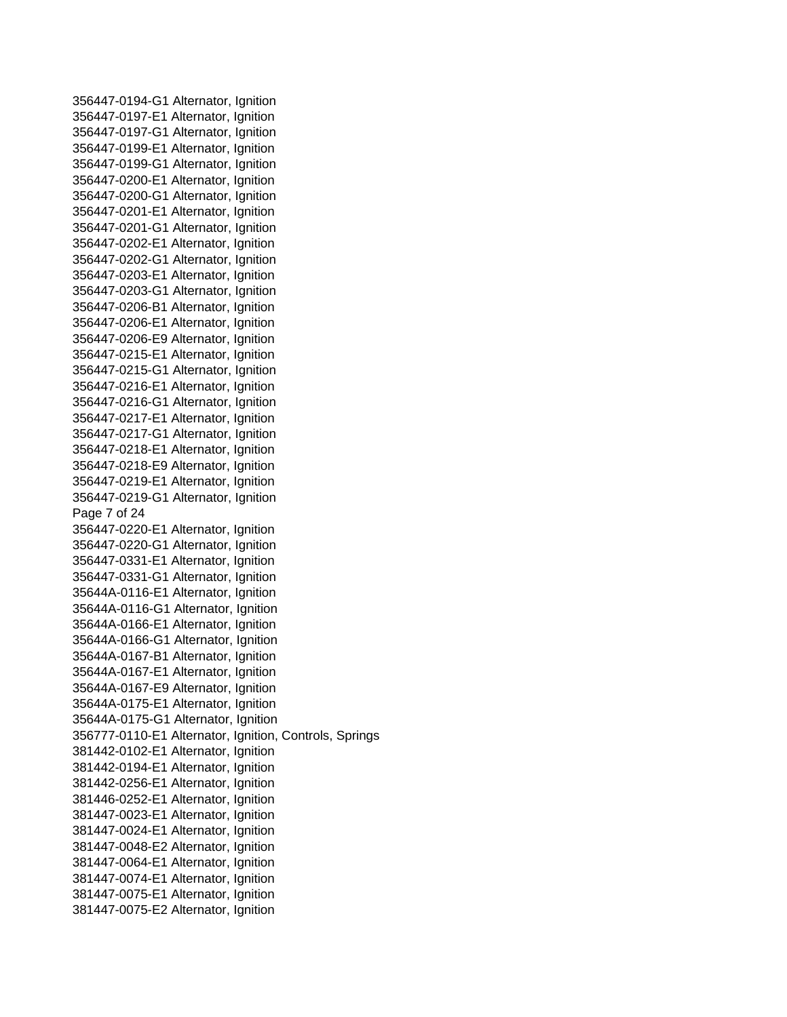356447-0194-G1 Alternator, Ignition 356447-0197-E1 Alternator, Ignition 356447-0197-G1 Alternator, Ignition 356447-0199-E1 Alternator, Ignition 356447-0199-G1 Alternator, Ignition 356447-0200-E1 Alternator, Ignition 356447-0200-G1 Alternator, Ignition 356447-0201-E1 Alternator, Ignition 356447-0201-G1 Alternator, Ignition 356447-0202-E1 Alternator, Ignition 356447-0202-G1 Alternator, Ignition 356447-0203-E1 Alternator, Ignition 356447-0203-G1 Alternator, Ignition 356447-0206-B1 Alternator, Ignition 356447-0206-E1 Alternator, Ignition 356447-0206-E9 Alternator, Ignition 356447-0215-E1 Alternator, Ignition 356447-0215-G1 Alternator, Ignition 356447-0216-E1 Alternator, Ignition 356447-0216-G1 Alternator, Ignition 356447-0217-E1 Alternator, Ignition 356447-0217-G1 Alternator, Ignition 356447-0218-E1 Alternator, Ignition 356447-0218-E9 Alternator, Ignition 356447-0219-E1 Alternator, Ignition 356447-0219-G1 Alternator, Ignition Page 7 of 24 356447-0220-E1 Alternator, Ignition 356447-0220-G1 Alternator, Ignition 356447-0331-E1 Alternator, Ignition 356447-0331-G1 Alternator, Ignition 35644A-0116-E1 Alternator, Ignition 35644A-0116-G1 Alternator, Ignition 35644A-0166-E1 Alternator, Ignition 35644A-0166-G1 Alternator, Ignition 35644A-0167-B1 Alternator, Ignition 35644A-0167-E1 Alternator, Ignition 35644A-0167-E9 Alternator, Ignition 35644A-0175-E1 Alternator, Ignition 35644A-0175-G1 Alternator, Ignition 356777-0110-E1 Alternator, Ignition, Controls, Springs 381442-0102-E1 Alternator, Ignition 381442-0194-E1 Alternator, Ignition 381442-0256-E1 Alternator, Ignition 381446-0252-E1 Alternator, Ignition 381447-0023-E1 Alternator, Ignition 381447-0024-E1 Alternator, Ignition 381447-0048-E2 Alternator, Ignition 381447-0064-E1 Alternator, Ignition 381447-0074-E1 Alternator, Ignition 381447-0075-E1 Alternator, Ignition 381447-0075-E2 Alternator, Ignition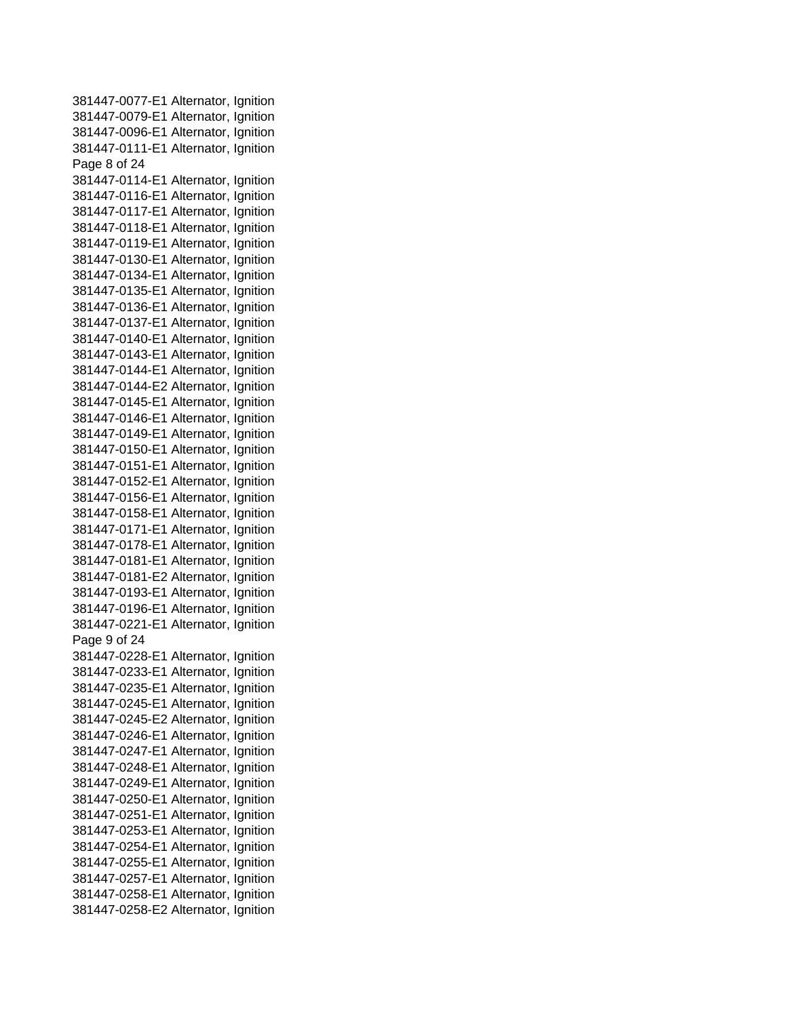381447-0077-E1 Alternator, Ignition 381447-0079-E1 Alternator, Ignition 381447-0096-E1 Alternator, Ignition 381447-0111-E1 Alternator, Ignition Page 8 of 24 381447-0114-E1 Alternator, Ignition 381447-0116-E1 Alternator, Ignition 381447-0117-E1 Alternator, Ignition 381447-0118-E1 Alternator, Ignition 381447-0119-E1 Alternator, Ignition 381447-0130-E1 Alternator, Ignition 381447-0134-E1 Alternator, Ignition 381447-0135-E1 Alternator, Ignition 381447-0136-E1 Alternator, Ignition 381447-0137-E1 Alternator, Ignition 381447-0140-E1 Alternator, Ignition 381447-0143-E1 Alternator, Ignition 381447-0144-E1 Alternator, Ignition 381447-0144-E2 Alternator, Ignition 381447-0145-E1 Alternator, Ignition 381447-0146-E1 Alternator, Ignition 381447-0149-E1 Alternator, Ignition 381447-0150-E1 Alternator, Ignition 381447-0151-E1 Alternator, Ignition 381447-0152-E1 Alternator, Ignition 381447-0156-E1 Alternator, Ignition 381447-0158-E1 Alternator, Ignition 381447-0171-E1 Alternator, Ignition 381447-0178-E1 Alternator, Ignition 381447-0181-E1 Alternator, Ignition 381447-0181-E2 Alternator, Ignition 381447-0193-E1 Alternator, Ignition 381447-0196-E1 Alternator, Ignition 381447-0221-E1 Alternator, Ignition Page 9 of 24 381447-0228-E1 Alternator, Ignition 381447-0233-E1 Alternator, Ignition 381447-0235-E1 Alternator, Ignition 381447-0245-E1 Alternator, Ignition 381447-0245-E2 Alternator, Ignition 381447-0246-E1 Alternator, Ignition 381447-0247-E1 Alternator, Ignition 381447-0248-E1 Alternator, Ignition 381447-0249-E1 Alternator, Ignition 381447-0250-E1 Alternator, Ignition 381447-0251-E1 Alternator, Ignition 381447-0253-E1 Alternator, Ignition 381447-0254-E1 Alternator, Ignition 381447-0255-E1 Alternator, Ignition 381447-0257-E1 Alternator, Ignition 381447-0258-E1 Alternator, Ignition 381447-0258-E2 Alternator, Ignition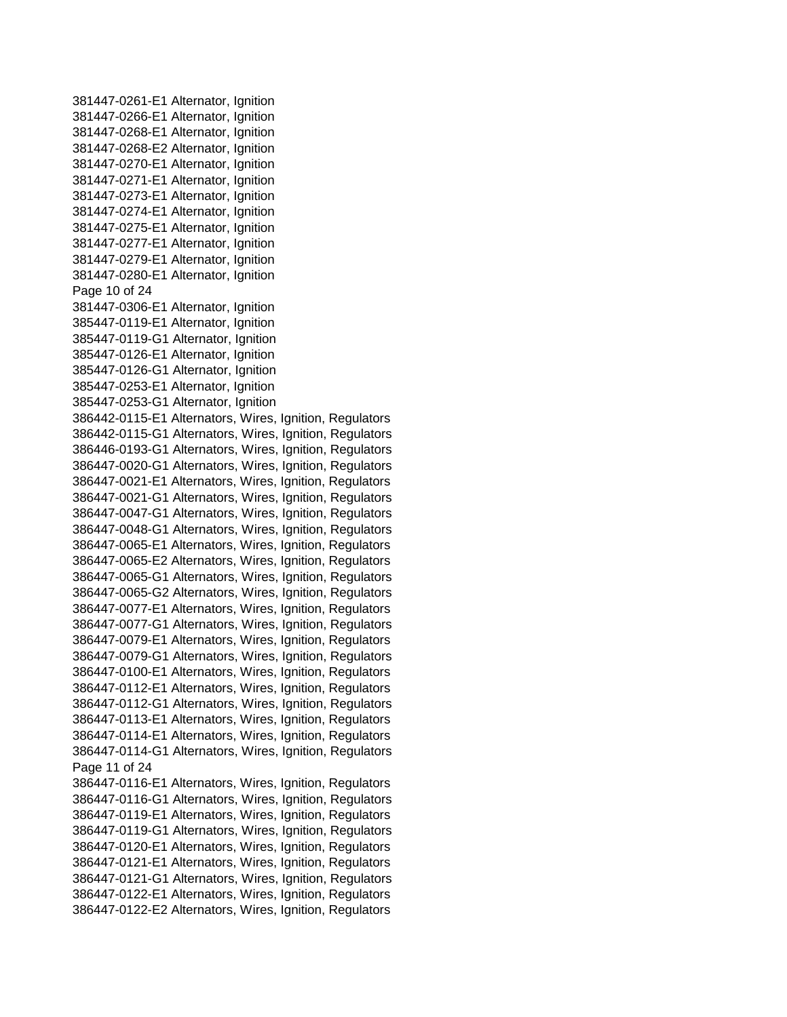381447-0261-E1 Alternator, Ignition 381447-0266-E1 Alternator, Ignition 381447-0268-E1 Alternator, Ignition 381447-0268-E2 Alternator, Ignition 381447-0270-E1 Alternator, Ignition 381447-0271-E1 Alternator, Ignition 381447-0273-E1 Alternator, Ignition 381447-0274-E1 Alternator, Ignition 381447-0275-E1 Alternator, Ignition 381447-0277-E1 Alternator, Ignition 381447-0279-E1 Alternator, Ignition 381447-0280-E1 Alternator, Ignition Page 10 of 24 381447-0306-E1 Alternator, Ignition 385447-0119-E1 Alternator, Ignition 385447-0119-G1 Alternator, Ignition 385447-0126-E1 Alternator, Ignition 385447-0126-G1 Alternator, Ignition 385447-0253-E1 Alternator, Ignition 385447-0253-G1 Alternator, Ignition 386442-0115-E1 Alternators, Wires, Ignition, Regulators 386442-0115-G1 Alternators, Wires, Ignition, Regulators 386446-0193-G1 Alternators, Wires, Ignition, Regulators 386447-0020-G1 Alternators, Wires, Ignition, Regulators 386447-0021-E1 Alternators, Wires, Ignition, Regulators 386447-0021-G1 Alternators, Wires, Ignition, Regulators 386447-0047-G1 Alternators, Wires, Ignition, Regulators 386447-0048-G1 Alternators, Wires, Ignition, Regulators 386447-0065-E1 Alternators, Wires, Ignition, Regulators 386447-0065-E2 Alternators, Wires, Ignition, Regulators 386447-0065-G1 Alternators, Wires, Ignition, Regulators 386447-0065-G2 Alternators, Wires, Ignition, Regulators 386447-0077-E1 Alternators, Wires, Ignition, Regulators 386447-0077-G1 Alternators, Wires, Ignition, Regulators 386447-0079-E1 Alternators, Wires, Ignition, Regulators 386447-0079-G1 Alternators, Wires, Ignition, Regulators 386447-0100-E1 Alternators, Wires, Ignition, Regulators 386447-0112-E1 Alternators, Wires, Ignition, Regulators 386447-0112-G1 Alternators, Wires, Ignition, Regulators 386447-0113-E1 Alternators, Wires, Ignition, Regulators 386447-0114-E1 Alternators, Wires, Ignition, Regulators 386447-0114-G1 Alternators, Wires, Ignition, Regulators Page 11 of 24 386447-0116-E1 Alternators, Wires, Ignition, Regulators 386447-0116-G1 Alternators, Wires, Ignition, Regulators 386447-0119-E1 Alternators, Wires, Ignition, Regulators 386447-0119-G1 Alternators, Wires, Ignition, Regulators 386447-0120-E1 Alternators, Wires, Ignition, Regulators 386447-0121-E1 Alternators, Wires, Ignition, Regulators 386447-0121-G1 Alternators, Wires, Ignition, Regulators 386447-0122-E1 Alternators, Wires, Ignition, Regulators 386447-0122-E2 Alternators, Wires, Ignition, Regulators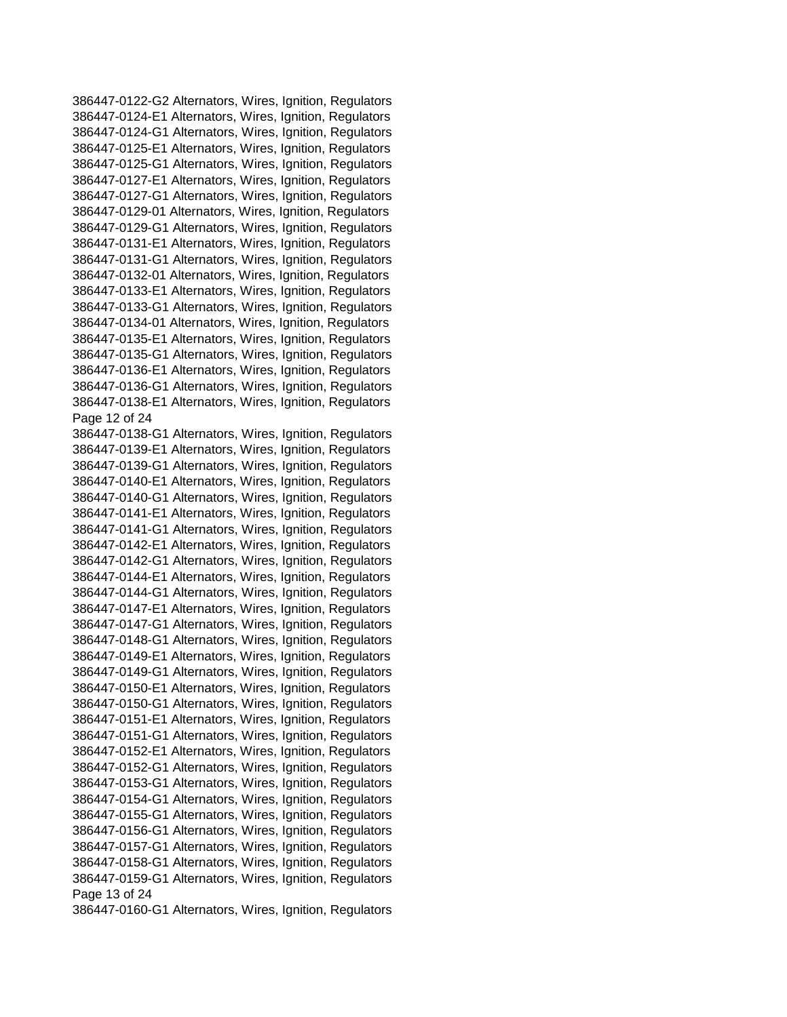386447-0122-G2 Alternators, Wires, Ignition, Regulators 386447-0124-E1 Alternators, Wires, Ignition, Regulators 386447-0124-G1 Alternators, Wires, Ignition, Regulators 386447-0125-E1 Alternators, Wires, Ignition, Regulators 386447-0125-G1 Alternators, Wires, Ignition, Regulators 386447-0127-E1 Alternators, Wires, Ignition, Regulators 386447-0127-G1 Alternators, Wires, Ignition, Regulators 386447-0129-01 Alternators, Wires, Ignition, Regulators 386447-0129-G1 Alternators, Wires, Ignition, Regulators 386447-0131-E1 Alternators, Wires, Ignition, Regulators 386447-0131-G1 Alternators, Wires, Ignition, Regulators 386447-0132-01 Alternators, Wires, Ignition, Regulators 386447-0133-E1 Alternators, Wires, Ignition, Regulators 386447-0133-G1 Alternators, Wires, Ignition, Regulators 386447-0134-01 Alternators, Wires, Ignition, Regulators 386447-0135-E1 Alternators, Wires, Ignition, Regulators 386447-0135-G1 Alternators, Wires, Ignition, Regulators 386447-0136-E1 Alternators, Wires, Ignition, Regulators 386447-0136-G1 Alternators, Wires, Ignition, Regulators 386447-0138-E1 Alternators, Wires, Ignition, Regulators Page 12 of 24 386447-0138-G1 Alternators, Wires, Ignition, Regulators 386447-0139-E1 Alternators, Wires, Ignition, Regulators 386447-0139-G1 Alternators, Wires, Ignition, Regulators 386447-0140-E1 Alternators, Wires, Ignition, Regulators 386447-0140-G1 Alternators, Wires, Ignition, Regulators 386447-0141-E1 Alternators, Wires, Ignition, Regulators 386447-0141-G1 Alternators, Wires, Ignition, Regulators 386447-0142-E1 Alternators, Wires, Ignition, Regulators 386447-0142-G1 Alternators, Wires, Ignition, Regulators 386447-0144-E1 Alternators, Wires, Ignition, Regulators 386447-0144-G1 Alternators, Wires, Ignition, Regulators 386447-0147-E1 Alternators, Wires, Ignition, Regulators 386447-0147-G1 Alternators, Wires, Ignition, Regulators 386447-0148-G1 Alternators, Wires, Ignition, Regulators 386447-0149-E1 Alternators, Wires, Ignition, Regulators 386447-0149-G1 Alternators, Wires, Ignition, Regulators 386447-0150-E1 Alternators, Wires, Ignition, Regulators 386447-0150-G1 Alternators, Wires, Ignition, Regulators 386447-0151-E1 Alternators, Wires, Ignition, Regulators 386447-0151-G1 Alternators, Wires, Ignition, Regulators 386447-0152-E1 Alternators, Wires, Ignition, Regulators 386447-0152-G1 Alternators, Wires, Ignition, Regulators 386447-0153-G1 Alternators, Wires, Ignition, Regulators 386447-0154-G1 Alternators, Wires, Ignition, Regulators 386447-0155-G1 Alternators, Wires, Ignition, Regulators 386447-0156-G1 Alternators, Wires, Ignition, Regulators 386447-0157-G1 Alternators, Wires, Ignition, Regulators 386447-0158-G1 Alternators, Wires, Ignition, Regulators 386447-0159-G1 Alternators, Wires, Ignition, Regulators Page 13 of 24 386447-0160-G1 Alternators, Wires, Ignition, Regulators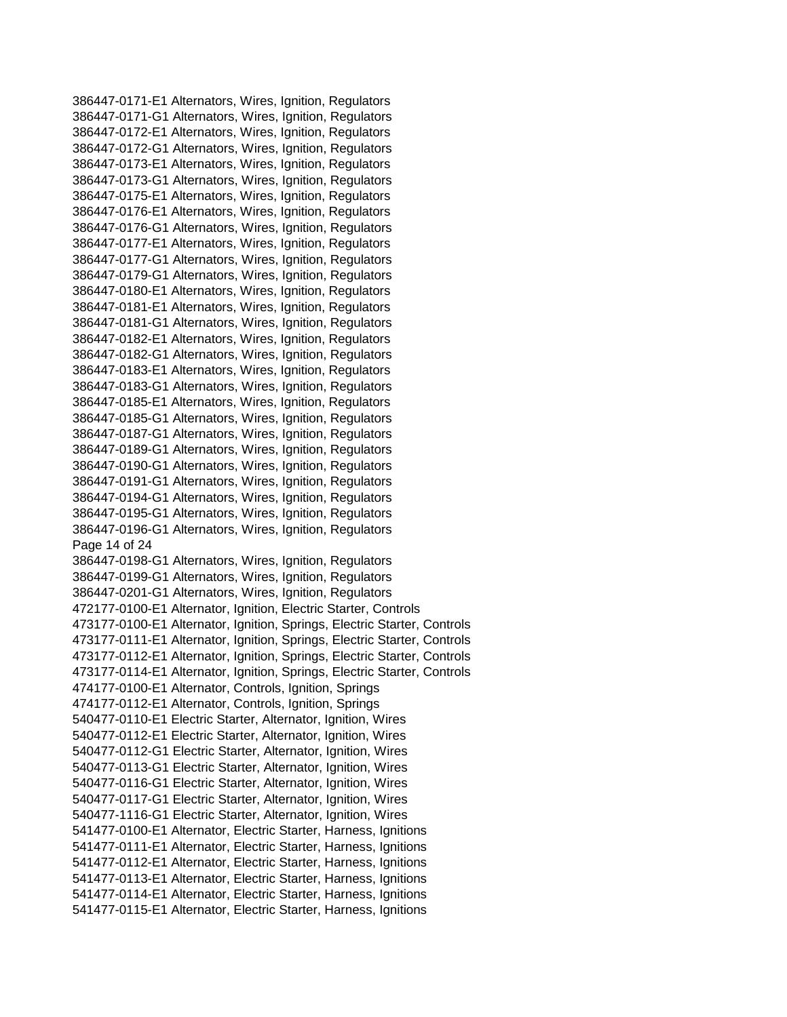386447-0171-E1 Alternators, Wires, Ignition, Regulators 386447-0171-G1 Alternators, Wires, Ignition, Regulators 386447-0172-E1 Alternators, Wires, Ignition, Regulators 386447-0172-G1 Alternators, Wires, Ignition, Regulators 386447-0173-E1 Alternators, Wires, Ignition, Regulators 386447-0173-G1 Alternators, Wires, Ignition, Regulators 386447-0175-E1 Alternators, Wires, Ignition, Regulators 386447-0176-E1 Alternators, Wires, Ignition, Regulators 386447-0176-G1 Alternators, Wires, Ignition, Regulators 386447-0177-E1 Alternators, Wires, Ignition, Regulators 386447-0177-G1 Alternators, Wires, Ignition, Regulators 386447-0179-G1 Alternators, Wires, Ignition, Regulators 386447-0180-E1 Alternators, Wires, Ignition, Regulators 386447-0181-E1 Alternators, Wires, Ignition, Regulators 386447-0181-G1 Alternators, Wires, Ignition, Regulators 386447-0182-E1 Alternators, Wires, Ignition, Regulators 386447-0182-G1 Alternators, Wires, Ignition, Regulators 386447-0183-E1 Alternators, Wires, Ignition, Regulators 386447-0183-G1 Alternators, Wires, Ignition, Regulators 386447-0185-E1 Alternators, Wires, Ignition, Regulators 386447-0185-G1 Alternators, Wires, Ignition, Regulators 386447-0187-G1 Alternators, Wires, Ignition, Regulators 386447-0189-G1 Alternators, Wires, Ignition, Regulators 386447-0190-G1 Alternators, Wires, Ignition, Regulators 386447-0191-G1 Alternators, Wires, Ignition, Regulators 386447-0194-G1 Alternators, Wires, Ignition, Regulators 386447-0195-G1 Alternators, Wires, Ignition, Regulators 386447-0196-G1 Alternators, Wires, Ignition, Regulators Page 14 of 24 386447-0198-G1 Alternators, Wires, Ignition, Regulators 386447-0199-G1 Alternators, Wires, Ignition, Regulators 386447-0201-G1 Alternators, Wires, Ignition, Regulators 472177-0100-E1 Alternator, Ignition, Electric Starter, Controls 473177-0100-E1 Alternator, Ignition, Springs, Electric Starter, Controls 473177-0111-E1 Alternator, Ignition, Springs, Electric Starter, Controls 473177-0112-E1 Alternator, Ignition, Springs, Electric Starter, Controls 473177-0114-E1 Alternator, Ignition, Springs, Electric Starter, Controls 474177-0100-E1 Alternator, Controls, Ignition, Springs 474177-0112-E1 Alternator, Controls, Ignition, Springs 540477-0110-E1 Electric Starter, Alternator, Ignition, Wires 540477-0112-E1 Electric Starter, Alternator, Ignition, Wires 540477-0112-G1 Electric Starter, Alternator, Ignition, Wires 540477-0113-G1 Electric Starter, Alternator, Ignition, Wires 540477-0116-G1 Electric Starter, Alternator, Ignition, Wires 540477-0117-G1 Electric Starter, Alternator, Ignition, Wires 540477-1116-G1 Electric Starter, Alternator, Ignition, Wires 541477-0100-E1 Alternator, Electric Starter, Harness, Ignitions 541477-0111-E1 Alternator, Electric Starter, Harness, Ignitions 541477-0112-E1 Alternator, Electric Starter, Harness, Ignitions 541477-0113-E1 Alternator, Electric Starter, Harness, Ignitions 541477-0114-E1 Alternator, Electric Starter, Harness, Ignitions 541477-0115-E1 Alternator, Electric Starter, Harness, Ignitions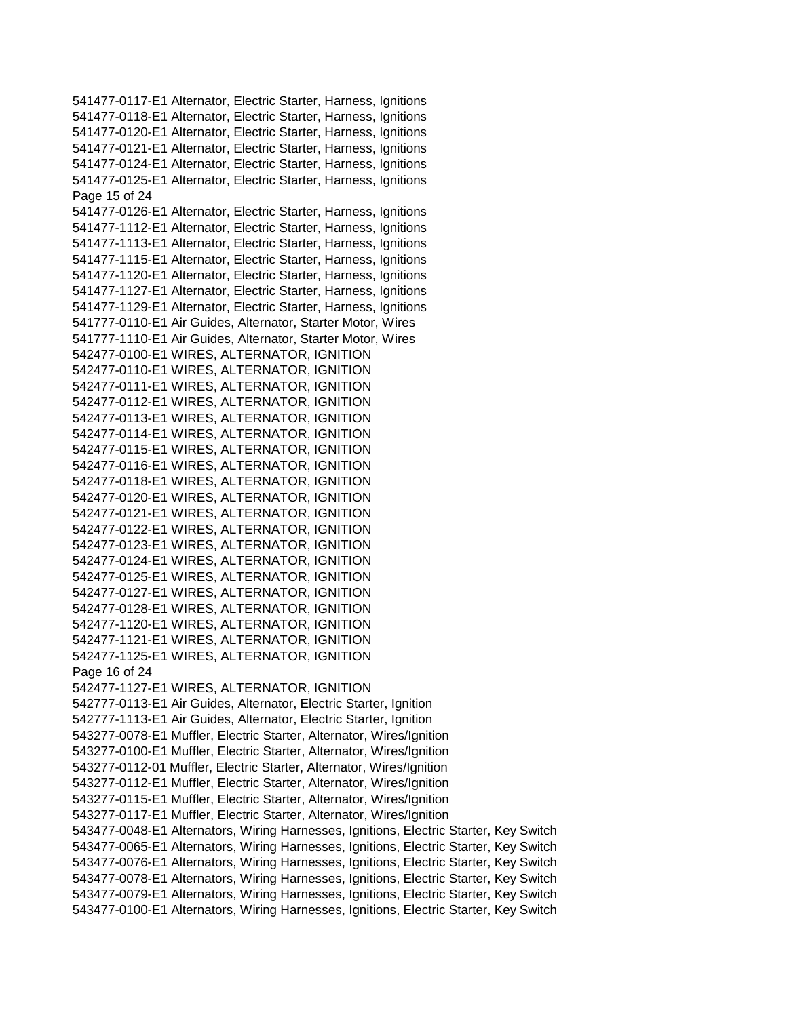541477-0117-E1 Alternator, Electric Starter, Harness, Ignitions 541477-0118-E1 Alternator, Electric Starter, Harness, Ignitions 541477-0120-E1 Alternator, Electric Starter, Harness, Ignitions 541477-0121-E1 Alternator, Electric Starter, Harness, Ignitions 541477-0124-E1 Alternator, Electric Starter, Harness, Ignitions 541477-0125-E1 Alternator, Electric Starter, Harness, Ignitions Page 15 of 24 541477-0126-E1 Alternator, Electric Starter, Harness, Ignitions 541477-1112-E1 Alternator, Electric Starter, Harness, Ignitions 541477-1113-E1 Alternator, Electric Starter, Harness, Ignitions 541477-1115-E1 Alternator, Electric Starter, Harness, Ignitions 541477-1120-E1 Alternator, Electric Starter, Harness, Ignitions 541477-1127-E1 Alternator, Electric Starter, Harness, Ignitions 541477-1129-E1 Alternator, Electric Starter, Harness, Ignitions 541777-0110-E1 Air Guides, Alternator, Starter Motor, Wires 541777-1110-E1 Air Guides, Alternator, Starter Motor, Wires 542477-0100-E1 WIRES, ALTERNATOR, IGNITION 542477-0110-E1 WIRES, ALTERNATOR, IGNITION 542477-0111-E1 WIRES, ALTERNATOR, IGNITION 542477-0112-E1 WIRES, ALTERNATOR, IGNITION 542477-0113-E1 WIRES, ALTERNATOR, IGNITION 542477-0114-E1 WIRES, ALTERNATOR, IGNITION 542477-0115-E1 WIRES, ALTERNATOR, IGNITION 542477-0116-E1 WIRES, ALTERNATOR, IGNITION 542477-0118-E1 WIRES, ALTERNATOR, IGNITION 542477-0120-E1 WIRES, ALTERNATOR, IGNITION 542477-0121-E1 WIRES, ALTERNATOR, IGNITION 542477-0122-E1 WIRES, ALTERNATOR, IGNITION 542477-0123-E1 WIRES, ALTERNATOR, IGNITION 542477-0124-E1 WIRES, ALTERNATOR, IGNITION 542477-0125-E1 WIRES, ALTERNATOR, IGNITION 542477-0127-E1 WIRES, ALTERNATOR, IGNITION 542477-0128-E1 WIRES, ALTERNATOR, IGNITION 542477-1120-E1 WIRES, ALTERNATOR, IGNITION 542477-1121-E1 WIRES, ALTERNATOR, IGNITION 542477-1125-E1 WIRES, ALTERNATOR, IGNITION Page 16 of 24 542477-1127-E1 WIRES, ALTERNATOR, IGNITION 542777-0113-E1 Air Guides, Alternator, Electric Starter, Ignition 542777-1113-E1 Air Guides, Alternator, Electric Starter, Ignition 543277-0078-E1 Muffler, Electric Starter, Alternator, Wires/Ignition 543277-0100-E1 Muffler, Electric Starter, Alternator, Wires/Ignition 543277-0112-01 Muffler, Electric Starter, Alternator, Wires/Ignition 543277-0112-E1 Muffler, Electric Starter, Alternator, Wires/Ignition 543277-0115-E1 Muffler, Electric Starter, Alternator, Wires/Ignition 543277-0117-E1 Muffler, Electric Starter, Alternator, Wires/Ignition 543477-0048-E1 Alternators, Wiring Harnesses, Ignitions, Electric Starter, Key Switch 543477-0065-E1 Alternators, Wiring Harnesses, Ignitions, Electric Starter, Key Switch 543477-0076-E1 Alternators, Wiring Harnesses, Ignitions, Electric Starter, Key Switch 543477-0078-E1 Alternators, Wiring Harnesses, Ignitions, Electric Starter, Key Switch 543477-0079-E1 Alternators, Wiring Harnesses, Ignitions, Electric Starter, Key Switch 543477-0100-E1 Alternators, Wiring Harnesses, Ignitions, Electric Starter, Key Switch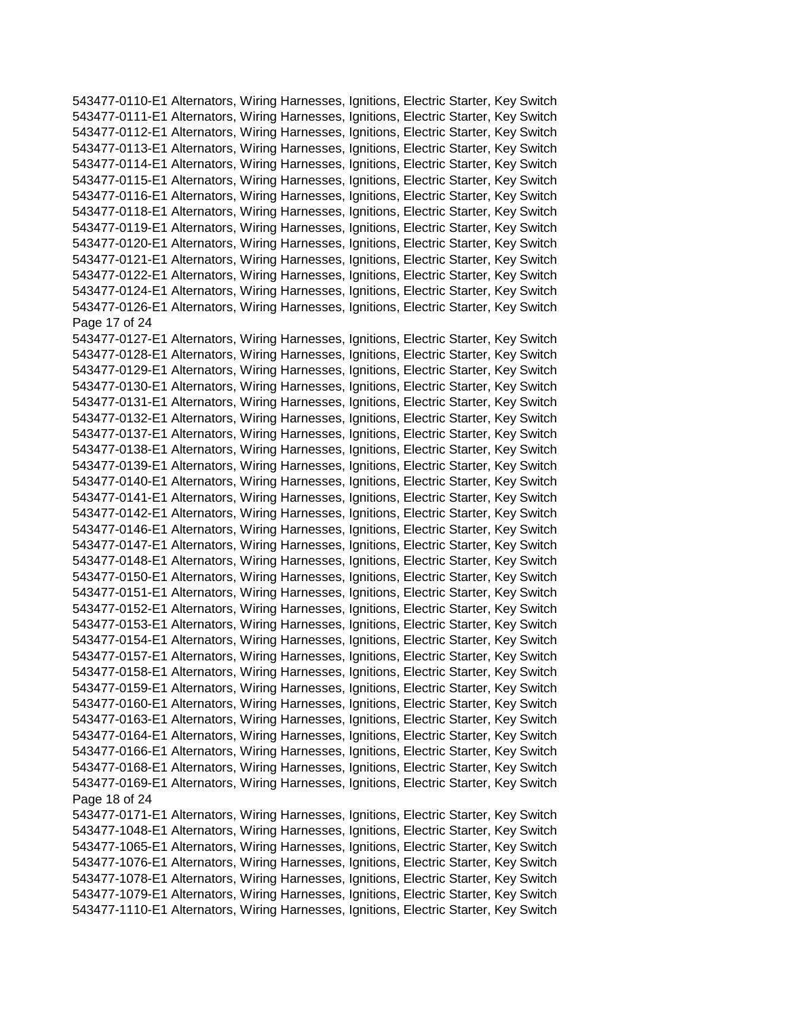543477-0110-E1 Alternators, Wiring Harnesses, Ignitions, Electric Starter, Key Switch 543477-0111-E1 Alternators, Wiring Harnesses, Ignitions, Electric Starter, Key Switch 543477-0112-E1 Alternators, Wiring Harnesses, Ignitions, Electric Starter, Key Switch 543477-0113-E1 Alternators, Wiring Harnesses, Ignitions, Electric Starter, Key Switch 543477-0114-E1 Alternators, Wiring Harnesses, Ignitions, Electric Starter, Key Switch 543477-0115-E1 Alternators, Wiring Harnesses, Ignitions, Electric Starter, Key Switch 543477-0116-E1 Alternators, Wiring Harnesses, Ignitions, Electric Starter, Key Switch 543477-0118-E1 Alternators, Wiring Harnesses, Ignitions, Electric Starter, Key Switch 543477-0119-E1 Alternators, Wiring Harnesses, Ignitions, Electric Starter, Key Switch 543477-0120-E1 Alternators, Wiring Harnesses, Ignitions, Electric Starter, Key Switch 543477-0121-E1 Alternators, Wiring Harnesses, Ignitions, Electric Starter, Key Switch 543477-0122-E1 Alternators, Wiring Harnesses, Ignitions, Electric Starter, Key Switch 543477-0124-E1 Alternators, Wiring Harnesses, Ignitions, Electric Starter, Key Switch 543477-0126-E1 Alternators, Wiring Harnesses, Ignitions, Electric Starter, Key Switch Page 17 of 24 543477-0127-E1 Alternators, Wiring Harnesses, Ignitions, Electric Starter, Key Switch 543477-0128-E1 Alternators, Wiring Harnesses, Ignitions, Electric Starter, Key Switch 543477-0129-E1 Alternators, Wiring Harnesses, Ignitions, Electric Starter, Key Switch 543477-0130-E1 Alternators, Wiring Harnesses, Ignitions, Electric Starter, Key Switch 543477-0131-E1 Alternators, Wiring Harnesses, Ignitions, Electric Starter, Key Switch 543477-0132-E1 Alternators, Wiring Harnesses, Ignitions, Electric Starter, Key Switch 543477-0137-E1 Alternators, Wiring Harnesses, Ignitions, Electric Starter, Key Switch 543477-0138-E1 Alternators, Wiring Harnesses, Ignitions, Electric Starter, Key Switch 543477-0139-E1 Alternators, Wiring Harnesses, Ignitions, Electric Starter, Key Switch 543477-0140-E1 Alternators, Wiring Harnesses, Ignitions, Electric Starter, Key Switch 543477-0141-E1 Alternators, Wiring Harnesses, Ignitions, Electric Starter, Key Switch 543477-0142-E1 Alternators, Wiring Harnesses, Ignitions, Electric Starter, Key Switch 543477-0146-E1 Alternators, Wiring Harnesses, Ignitions, Electric Starter, Key Switch 543477-0147-E1 Alternators, Wiring Harnesses, Ignitions, Electric Starter, Key Switch 543477-0148-E1 Alternators, Wiring Harnesses, Ignitions, Electric Starter, Key Switch 543477-0150-E1 Alternators, Wiring Harnesses, Ignitions, Electric Starter, Key Switch 543477-0151-E1 Alternators, Wiring Harnesses, Ignitions, Electric Starter, Key Switch 543477-0152-E1 Alternators, Wiring Harnesses, Ignitions, Electric Starter, Key Switch 543477-0153-E1 Alternators, Wiring Harnesses, Ignitions, Electric Starter, Key Switch 543477-0154-E1 Alternators, Wiring Harnesses, Ignitions, Electric Starter, Key Switch 543477-0157-E1 Alternators, Wiring Harnesses, Ignitions, Electric Starter, Key Switch 543477-0158-E1 Alternators, Wiring Harnesses, Ignitions, Electric Starter, Key Switch 543477-0159-E1 Alternators, Wiring Harnesses, Ignitions, Electric Starter, Key Switch 543477-0160-E1 Alternators, Wiring Harnesses, Ignitions, Electric Starter, Key Switch 543477-0163-E1 Alternators, Wiring Harnesses, Ignitions, Electric Starter, Key Switch 543477-0164-E1 Alternators, Wiring Harnesses, Ignitions, Electric Starter, Key Switch 543477-0166-E1 Alternators, Wiring Harnesses, Ignitions, Electric Starter, Key Switch 543477-0168-E1 Alternators, Wiring Harnesses, Ignitions, Electric Starter, Key Switch 543477-0169-E1 Alternators, Wiring Harnesses, Ignitions, Electric Starter, Key Switch Page 18 of 24 543477-0171-E1 Alternators, Wiring Harnesses, Ignitions, Electric Starter, Key Switch 543477-1048-E1 Alternators, Wiring Harnesses, Ignitions, Electric Starter, Key Switch 543477-1065-E1 Alternators, Wiring Harnesses, Ignitions, Electric Starter, Key Switch 543477-1076-E1 Alternators, Wiring Harnesses, Ignitions, Electric Starter, Key Switch 543477-1078-E1 Alternators, Wiring Harnesses, Ignitions, Electric Starter, Key Switch 543477-1079-E1 Alternators, Wiring Harnesses, Ignitions, Electric Starter, Key Switch 543477-1110-E1 Alternators, Wiring Harnesses, Ignitions, Electric Starter, Key Switch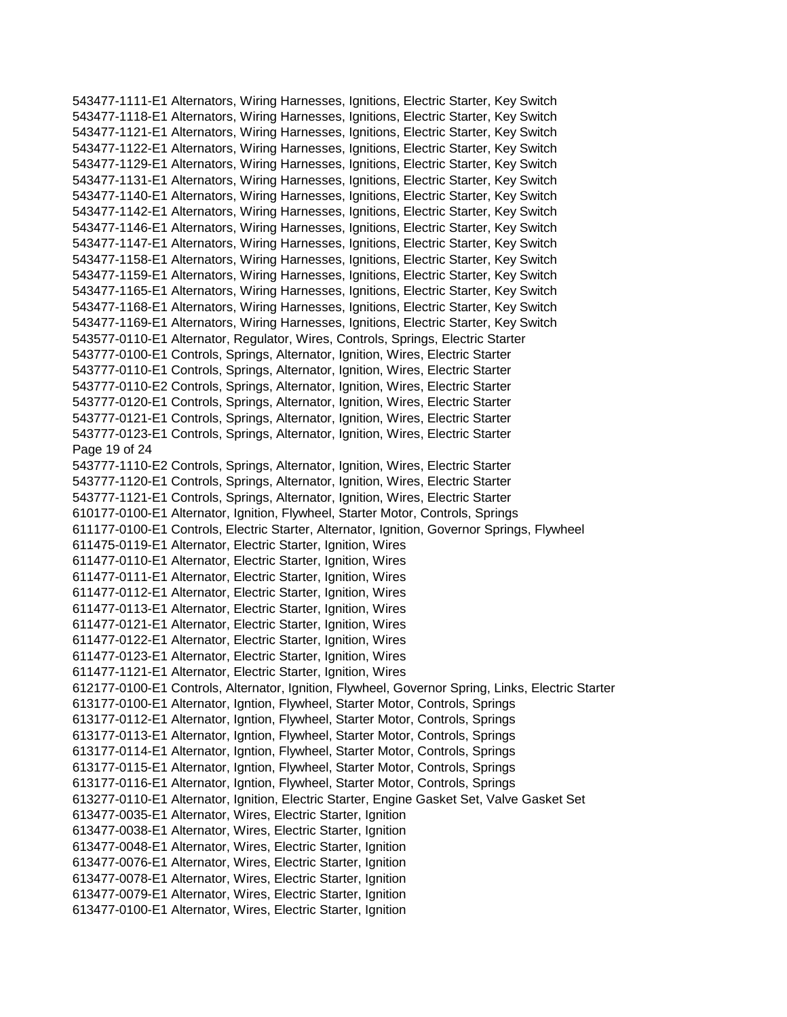543477-1111-E1 Alternators, Wiring Harnesses, Ignitions, Electric Starter, Key Switch 543477-1118-E1 Alternators, Wiring Harnesses, Ignitions, Electric Starter, Key Switch 543477-1121-E1 Alternators, Wiring Harnesses, Ignitions, Electric Starter, Key Switch 543477-1122-E1 Alternators, Wiring Harnesses, Ignitions, Electric Starter, Key Switch 543477-1129-E1 Alternators, Wiring Harnesses, Ignitions, Electric Starter, Key Switch 543477-1131-E1 Alternators, Wiring Harnesses, Ignitions, Electric Starter, Key Switch 543477-1140-E1 Alternators, Wiring Harnesses, Ignitions, Electric Starter, Key Switch 543477-1142-E1 Alternators, Wiring Harnesses, Ignitions, Electric Starter, Key Switch 543477-1146-E1 Alternators, Wiring Harnesses, Ignitions, Electric Starter, Key Switch 543477-1147-E1 Alternators, Wiring Harnesses, Ignitions, Electric Starter, Key Switch 543477-1158-E1 Alternators, Wiring Harnesses, Ignitions, Electric Starter, Key Switch 543477-1159-E1 Alternators, Wiring Harnesses, Ignitions, Electric Starter, Key Switch 543477-1165-E1 Alternators, Wiring Harnesses, Ignitions, Electric Starter, Key Switch 543477-1168-E1 Alternators, Wiring Harnesses, Ignitions, Electric Starter, Key Switch 543477-1169-E1 Alternators, Wiring Harnesses, Ignitions, Electric Starter, Key Switch 543577-0110-E1 Alternator, Regulator, Wires, Controls, Springs, Electric Starter 543777-0100-E1 Controls, Springs, Alternator, Ignition, Wires, Electric Starter 543777-0110-E1 Controls, Springs, Alternator, Ignition, Wires, Electric Starter 543777-0110-E2 Controls, Springs, Alternator, Ignition, Wires, Electric Starter 543777-0120-E1 Controls, Springs, Alternator, Ignition, Wires, Electric Starter 543777-0121-E1 Controls, Springs, Alternator, Ignition, Wires, Electric Starter 543777-0123-E1 Controls, Springs, Alternator, Ignition, Wires, Electric Starter Page 19 of 24 543777-1110-E2 Controls, Springs, Alternator, Ignition, Wires, Electric Starter 543777-1120-E1 Controls, Springs, Alternator, Ignition, Wires, Electric Starter 543777-1121-E1 Controls, Springs, Alternator, Ignition, Wires, Electric Starter 610177-0100-E1 Alternator, Ignition, Flywheel, Starter Motor, Controls, Springs 611177-0100-E1 Controls, Electric Starter, Alternator, Ignition, Governor Springs, Flywheel 611475-0119-E1 Alternator, Electric Starter, Ignition, Wires 611477-0110-E1 Alternator, Electric Starter, Ignition, Wires 611477-0111-E1 Alternator, Electric Starter, Ignition, Wires 611477-0112-E1 Alternator, Electric Starter, Ignition, Wires 611477-0113-E1 Alternator, Electric Starter, Ignition, Wires 611477-0121-E1 Alternator, Electric Starter, Ignition, Wires 611477-0122-E1 Alternator, Electric Starter, Ignition, Wires 611477-0123-E1 Alternator, Electric Starter, Ignition, Wires 611477-1121-E1 Alternator, Electric Starter, Ignition, Wires 612177-0100-E1 Controls, Alternator, Ignition, Flywheel, Governor Spring, Links, Electric Starter 613177-0100-E1 Alternator, Igntion, Flywheel, Starter Motor, Controls, Springs 613177-0112-E1 Alternator, Igntion, Flywheel, Starter Motor, Controls, Springs 613177-0113-E1 Alternator, Igntion, Flywheel, Starter Motor, Controls, Springs 613177-0114-E1 Alternator, Igntion, Flywheel, Starter Motor, Controls, Springs 613177-0115-E1 Alternator, Igntion, Flywheel, Starter Motor, Controls, Springs 613177-0116-E1 Alternator, Igntion, Flywheel, Starter Motor, Controls, Springs 613277-0110-E1 Alternator, Ignition, Electric Starter, Engine Gasket Set, Valve Gasket Set 613477-0035-E1 Alternator, Wires, Electric Starter, Ignition 613477-0038-E1 Alternator, Wires, Electric Starter, Ignition 613477-0048-E1 Alternator, Wires, Electric Starter, Ignition 613477-0076-E1 Alternator, Wires, Electric Starter, Ignition 613477-0078-E1 Alternator, Wires, Electric Starter, Ignition 613477-0079-E1 Alternator, Wires, Electric Starter, Ignition 613477-0100-E1 Alternator, Wires, Electric Starter, Ignition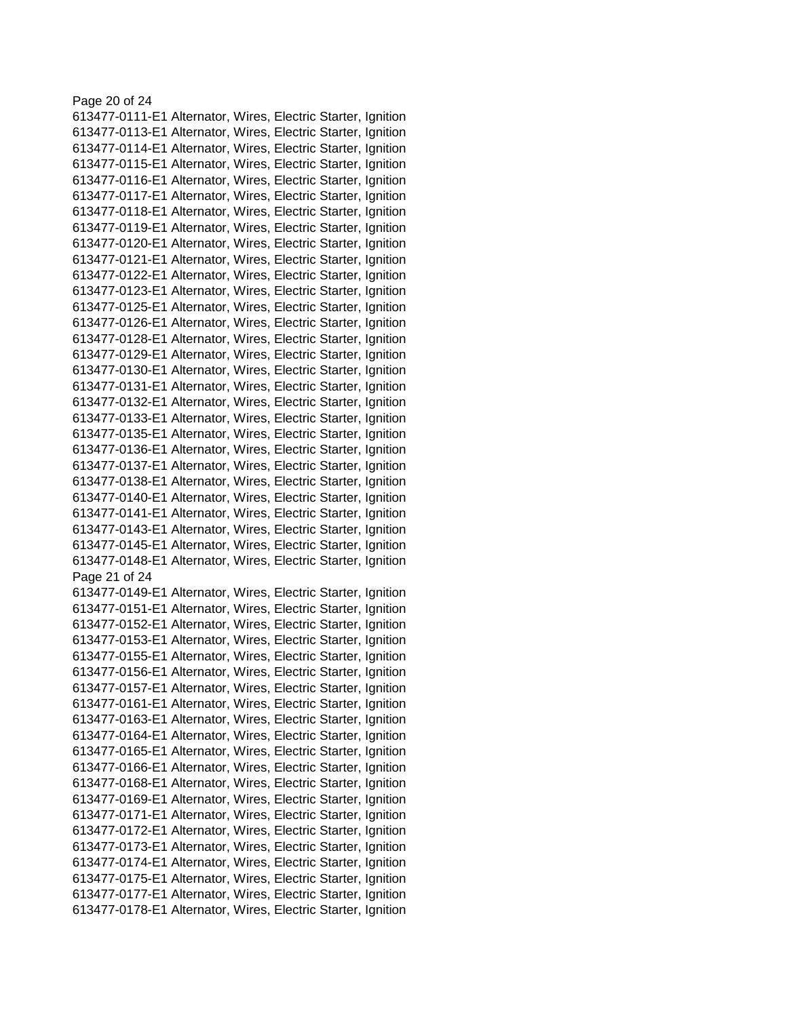## Page 20 of 24 613477-0111-E1 Alternator, Wires, Electric Starter, Ignition 613477-0113-E1 Alternator, Wires, Electric Starter, Ignition 613477-0114-E1 Alternator, Wires, Electric Starter, Ignition 613477-0115-E1 Alternator, Wires, Electric Starter, Ignition 613477-0116-E1 Alternator, Wires, Electric Starter, Ignition 613477-0117-E1 Alternator, Wires, Electric Starter, Ignition 613477-0118-E1 Alternator, Wires, Electric Starter, Ignition 613477-0119-E1 Alternator, Wires, Electric Starter, Ignition 613477-0120-E1 Alternator, Wires, Electric Starter, Ignition 613477-0121-E1 Alternator, Wires, Electric Starter, Ignition 613477-0122-E1 Alternator, Wires, Electric Starter, Ignition 613477-0123-E1 Alternator, Wires, Electric Starter, Ignition 613477-0125-E1 Alternator, Wires, Electric Starter, Ignition 613477-0126-E1 Alternator, Wires, Electric Starter, Ignition 613477-0128-E1 Alternator, Wires, Electric Starter, Ignition 613477-0129-E1 Alternator, Wires, Electric Starter, Ignition 613477-0130-E1 Alternator, Wires, Electric Starter, Ignition 613477-0131-E1 Alternator, Wires, Electric Starter, Ignition 613477-0132-E1 Alternator, Wires, Electric Starter, Ignition 613477-0133-E1 Alternator, Wires, Electric Starter, Ignition 613477-0135-E1 Alternator, Wires, Electric Starter, Ignition 613477-0136-E1 Alternator, Wires, Electric Starter, Ignition 613477-0137-E1 Alternator, Wires, Electric Starter, Ignition 613477-0138-E1 Alternator, Wires, Electric Starter, Ignition 613477-0140-E1 Alternator, Wires, Electric Starter, Ignition 613477-0141-E1 Alternator, Wires, Electric Starter, Ignition 613477-0143-E1 Alternator, Wires, Electric Starter, Ignition 613477-0145-E1 Alternator, Wires, Electric Starter, Ignition 613477-0148-E1 Alternator, Wires, Electric Starter, Ignition Page 21 of 24 613477-0149-E1 Alternator, Wires, Electric Starter, Ignition 613477-0151-E1 Alternator, Wires, Electric Starter, Ignition 613477-0152-E1 Alternator, Wires, Electric Starter, Ignition 613477-0153-E1 Alternator, Wires, Electric Starter, Ignition 613477-0155-E1 Alternator, Wires, Electric Starter, Ignition 613477-0156-E1 Alternator, Wires, Electric Starter, Ignition 613477-0157-E1 Alternator, Wires, Electric Starter, Ignition 613477-0161-E1 Alternator, Wires, Electric Starter, Ignition 613477-0163-E1 Alternator, Wires, Electric Starter, Ignition 613477-0164-E1 Alternator, Wires, Electric Starter, Ignition 613477-0165-E1 Alternator, Wires, Electric Starter, Ignition 613477-0166-E1 Alternator, Wires, Electric Starter, Ignition 613477-0168-E1 Alternator, Wires, Electric Starter, Ignition 613477-0169-E1 Alternator, Wires, Electric Starter, Ignition 613477-0171-E1 Alternator, Wires, Electric Starter, Ignition 613477-0172-E1 Alternator, Wires, Electric Starter, Ignition 613477-0173-E1 Alternator, Wires, Electric Starter, Ignition 613477-0174-E1 Alternator, Wires, Electric Starter, Ignition 613477-0175-E1 Alternator, Wires, Electric Starter, Ignition 613477-0177-E1 Alternator, Wires, Electric Starter, Ignition 613477-0178-E1 Alternator, Wires, Electric Starter, Ignition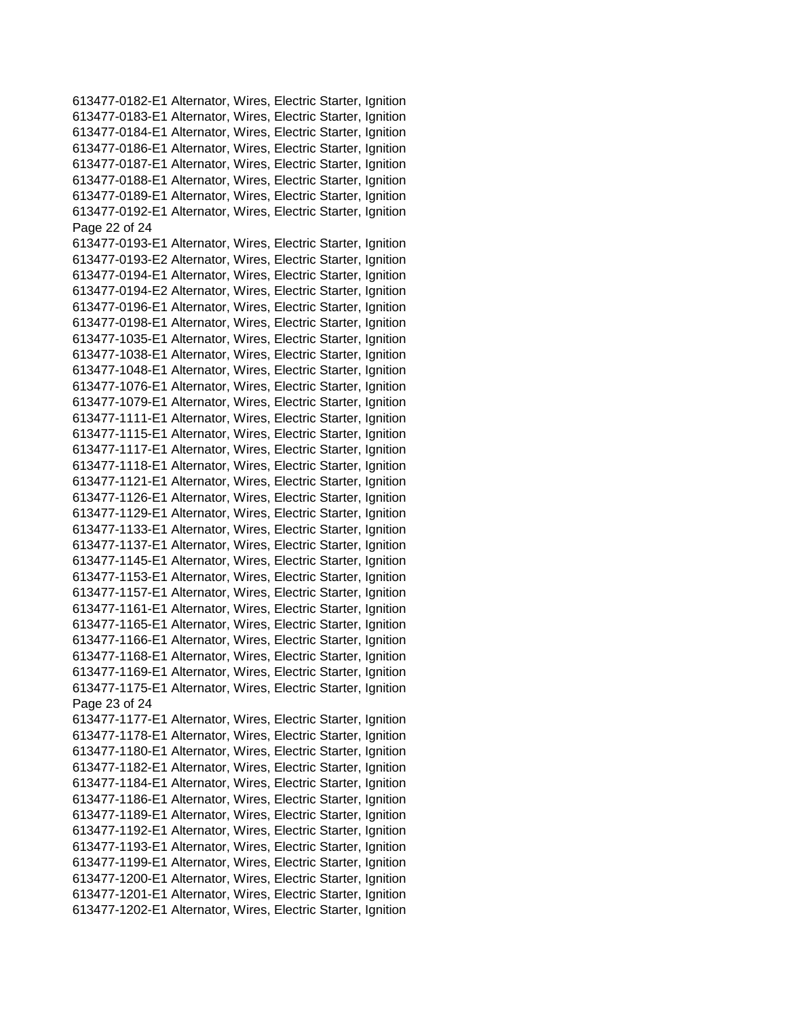613477-0182-E1 Alternator, Wires, Electric Starter, Ignition 613477-0183-E1 Alternator, Wires, Electric Starter, Ignition 613477-0184-E1 Alternator, Wires, Electric Starter, Ignition 613477-0186-E1 Alternator, Wires, Electric Starter, Ignition 613477-0187-E1 Alternator, Wires, Electric Starter, Ignition 613477-0188-E1 Alternator, Wires, Electric Starter, Ignition 613477-0189-E1 Alternator, Wires, Electric Starter, Ignition 613477-0192-E1 Alternator, Wires, Electric Starter, Ignition Page 22 of 24 613477-0193-E1 Alternator, Wires, Electric Starter, Ignition 613477-0193-E2 Alternator, Wires, Electric Starter, Ignition 613477-0194-E1 Alternator, Wires, Electric Starter, Ignition 613477-0194-E2 Alternator, Wires, Electric Starter, Ignition 613477-0196-E1 Alternator, Wires, Electric Starter, Ignition 613477-0198-E1 Alternator, Wires, Electric Starter, Ignition 613477-1035-E1 Alternator, Wires, Electric Starter, Ignition 613477-1038-E1 Alternator, Wires, Electric Starter, Ignition 613477-1048-E1 Alternator, Wires, Electric Starter, Ignition 613477-1076-E1 Alternator, Wires, Electric Starter, Ignition 613477-1079-E1 Alternator, Wires, Electric Starter, Ignition 613477-1111-E1 Alternator, Wires, Electric Starter, Ignition 613477-1115-E1 Alternator, Wires, Electric Starter, Ignition 613477-1117-E1 Alternator, Wires, Electric Starter, Ignition 613477-1118-E1 Alternator, Wires, Electric Starter, Ignition 613477-1121-E1 Alternator, Wires, Electric Starter, Ignition 613477-1126-E1 Alternator, Wires, Electric Starter, Ignition 613477-1129-E1 Alternator, Wires, Electric Starter, Ignition 613477-1133-E1 Alternator, Wires, Electric Starter, Ignition 613477-1137-E1 Alternator, Wires, Electric Starter, Ignition 613477-1145-E1 Alternator, Wires, Electric Starter, Ignition 613477-1153-E1 Alternator, Wires, Electric Starter, Ignition 613477-1157-E1 Alternator, Wires, Electric Starter, Ignition 613477-1161-E1 Alternator, Wires, Electric Starter, Ignition 613477-1165-E1 Alternator, Wires, Electric Starter, Ignition 613477-1166-E1 Alternator, Wires, Electric Starter, Ignition 613477-1168-E1 Alternator, Wires, Electric Starter, Ignition 613477-1169-E1 Alternator, Wires, Electric Starter, Ignition 613477-1175-E1 Alternator, Wires, Electric Starter, Ignition Page 23 of 24 613477-1177-E1 Alternator, Wires, Electric Starter, Ignition 613477-1178-E1 Alternator, Wires, Electric Starter, Ignition 613477-1180-E1 Alternator, Wires, Electric Starter, Ignition 613477-1182-E1 Alternator, Wires, Electric Starter, Ignition 613477-1184-E1 Alternator, Wires, Electric Starter, Ignition 613477-1186-E1 Alternator, Wires, Electric Starter, Ignition 613477-1189-E1 Alternator, Wires, Electric Starter, Ignition 613477-1192-E1 Alternator, Wires, Electric Starter, Ignition 613477-1193-E1 Alternator, Wires, Electric Starter, Ignition 613477-1199-E1 Alternator, Wires, Electric Starter, Ignition 613477-1200-E1 Alternator, Wires, Electric Starter, Ignition 613477-1201-E1 Alternator, Wires, Electric Starter, Ignition 613477-1202-E1 Alternator, Wires, Electric Starter, Ignition